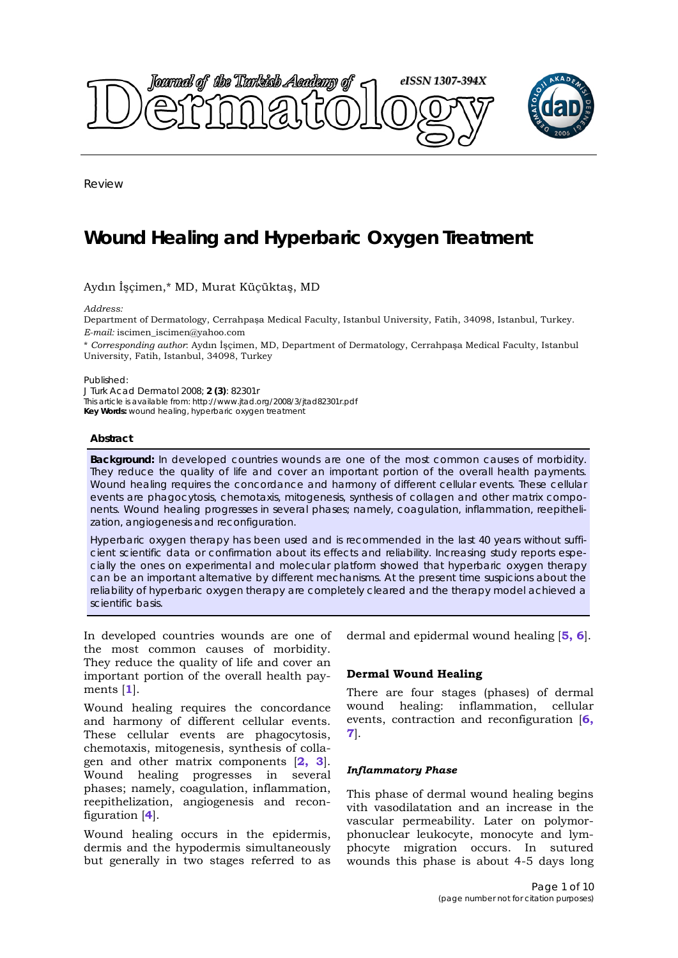

Review

# **Wound Healing and Hyperbaric Oxygen Treatment**

Aydın İşçimen,\* MD, Murat Küçüktaş, MD

*Address:* 

Department of Dermatology, Cerrahpaşa Medical Faculty, Istanbul University, Fatih, 34098, Istanbul, Turkey. *E-mail:* iscimen\_iscimen@yahoo.com

\* *Corresponding author*: Aydın İşçimen, MD, Department of Dermatology, Cerrahpaşa Medical Faculty, Istanbul University, Fatih, Istanbul, 34098, Turkey

Published:

*J Turk Acad Dermatol* 2008; **2 (3)**: 82301r This article is available from: http://www.jtad.org/2008/3/jtad82301r.pdf

**Key Words:** wound healing, hyperbaric oxygen treatment

#### **Abstract**

**Background:** In developed countries wounds are one of the most common causes of morbidity. They reduce the quality of life and cover an important portion of the overall health payments. Wound healing requires the concordance and harmony of different cellular events. These cellular events are phagocytosis, chemotaxis, mitogenesis, synthesis of collagen and other matrix components. Wound healing progresses in several phases; namely, coagulation, inflammation, reepithelization, angiogenesis and reconfiguration.

Hyperbaric oxygen therapy has been used and is recommended in the last 40 years without sufficient scientific data or confirmation about its effects and reliability. Increasing study reports especially the ones on experimental and molecular platform showed that hyperbaric oxygen therapy can be an important alternative by different mechanisms. At the present time suspicions about the reliability of hyperbaric oxygen therapy are completely cleared and the therapy model achieved a scientific basis.

In developed countries wounds are one of the most common causes of morbidity. They reduce the quality of life and cover an important portion of the overall health payments [**1**].

Wound healing requires the concordance and harmony of different cellular events. These cellular events are phagocytosis, chemotaxis, mitogenesis, synthesis of collagen and other matrix components [**2, 3**]. Wound healing progresses in several phases; namely, coagulation, inflammation, reepithelization, angiogenesis and reconfiguration [**4**].

Wound healing occurs in the epidermis, dermis and the hypodermis simultaneously but generally in two stages referred to as dermal and epidermal wound healing [**5, 6**].

## **Dermal Wound Healing**

There are four stages (phases) of dermal wound healing: inflammation, cellular events, contraction and reconfiguration [**6, 7**].

## *Inflammatory Phase*

This phase of dermal wound healing begins vith vasodilatation and an increase in the vascular permeability. Later on polymorphonuclear leukocyte, monocyte and lymphocyte migration occurs. In sutured wounds this phase is about 4-5 days long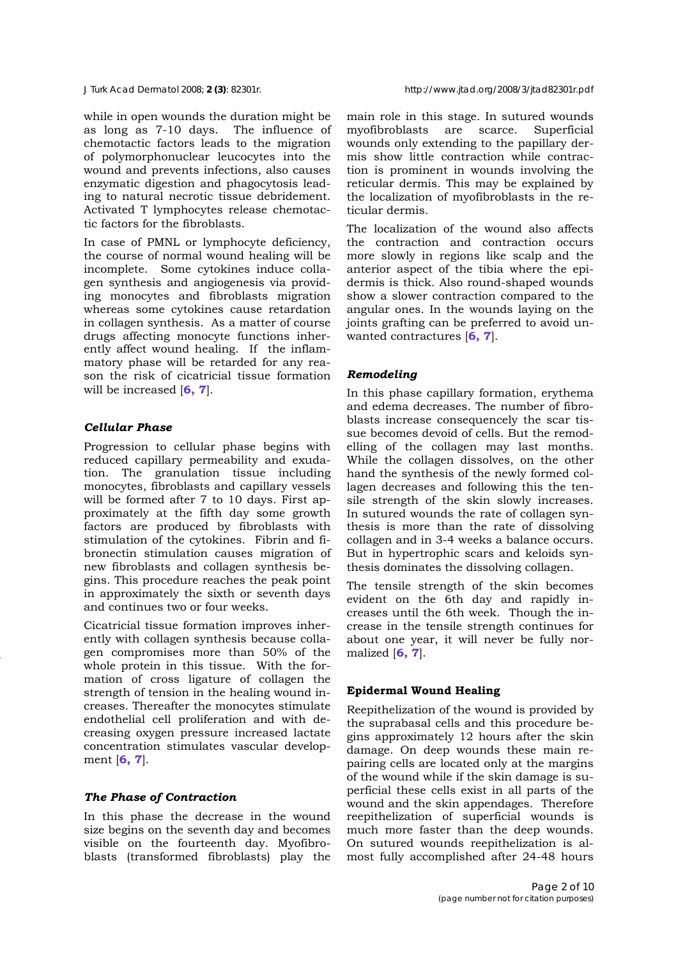while in open wounds the duration might be as long as 7-10 days. The influence of chemotactic factors leads to the migration of polymorphonuclear leucocytes into the wound and prevents infections, also causes enzymatic digestion and phagocytosis leading to natural necrotic tissue debridement. Activated T lymphocytes release chemotactic factors for the fibroblasts.

In case of PMNL or lymphocyte deficiency, the course of normal wound healing will be incomplete. Some cytokines induce collagen synthesis and angiogenesis via providing monocytes and fibroblasts migration whereas some cytokines cause retardation in collagen synthesis. As a matter of course drugs affecting monocyte functions inherently affect wound healing. If the inflammatory phase will be retarded for any reason the risk of cicatricial tissue formation will be increased [**6, 7**].

## *Cellular Phase*

Progression to cellular phase begins with reduced capillary permeability and exudation. The granulation tissue including monocytes, fibroblasts and capillary vessels will be formed after 7 to 10 days. First approximately at the fifth day some growth factors are produced by fibroblasts with stimulation of the cytokines. Fibrin and fibronectin stimulation causes migration of new fibroblasts and collagen synthesis begins. This procedure reaches the peak point in approximately the sixth or seventh days and continues two or four weeks.

Cicatricial tissue formation improves inherently with collagen synthesis because collagen compromises more than 50% of the whole protein in this tissue. With the formation of cross ligature of collagen the strength of tension in the healing wound increases. Thereafter the monocytes stimulate endothelial cell proliferation and with decreasing oxygen pressure increased lactate concentration stimulates vascular development [**6, 7**].

## *The Phase of Contraction*

In this phase the decrease in the wound size begins on the seventh day and becomes visible on the fourteenth day. Myofibroblasts (transformed fibroblasts) play the main role in this stage. In sutured wounds myofibroblasts are scarce. Superficial wounds only extending to the papillary dermis show little contraction while contraction is prominent in wounds involving the reticular dermis. This may be explained by the localization of myofibroblasts in the reticular dermis.

The localization of the wound also affects the contraction and contraction occurs more slowly in regions like scalp and the anterior aspect of the tibia where the epidermis is thick. Also round-shaped wounds show a slower contraction compared to the angular ones. In the wounds laying on the joints grafting can be preferred to avoid unwanted contractures [**6, 7**].

## *Remodeling*

In this phase capillary formation, erythema and edema decreases. The number of fibroblasts increase consequencely the scar tissue becomes devoid of cells. But the remodelling of the collagen may last months. While the collagen dissolves, on the other hand the synthesis of the newly formed collagen decreases and following this the tensile strength of the skin slowly increases. In sutured wounds the rate of collagen synthesis is more than the rate of dissolving collagen and in 3-4 weeks a balance occurs. But in hypertrophic scars and keloids synthesis dominates the dissolving collagen.

The tensile strength of the skin becomes evident on the 6th day and rapidly increases until the 6th week. Though the increase in the tensile strength continues for about one year, it will never be fully normalized [**6, 7**].

## **Epidermal Wound Healing**

Reepithelization of the wound is provided by the suprabasal cells and this procedure begins approximately 12 hours after the skin damage. On deep wounds these main repairing cells are located only at the margins of the wound while if the skin damage is superficial these cells exist in all parts of the wound and the skin appendages. Therefore reepithelization of superficial wounds is much more faster than the deep wounds. On sutured wounds reepithelization is almost fully accomplished after 24-48 hours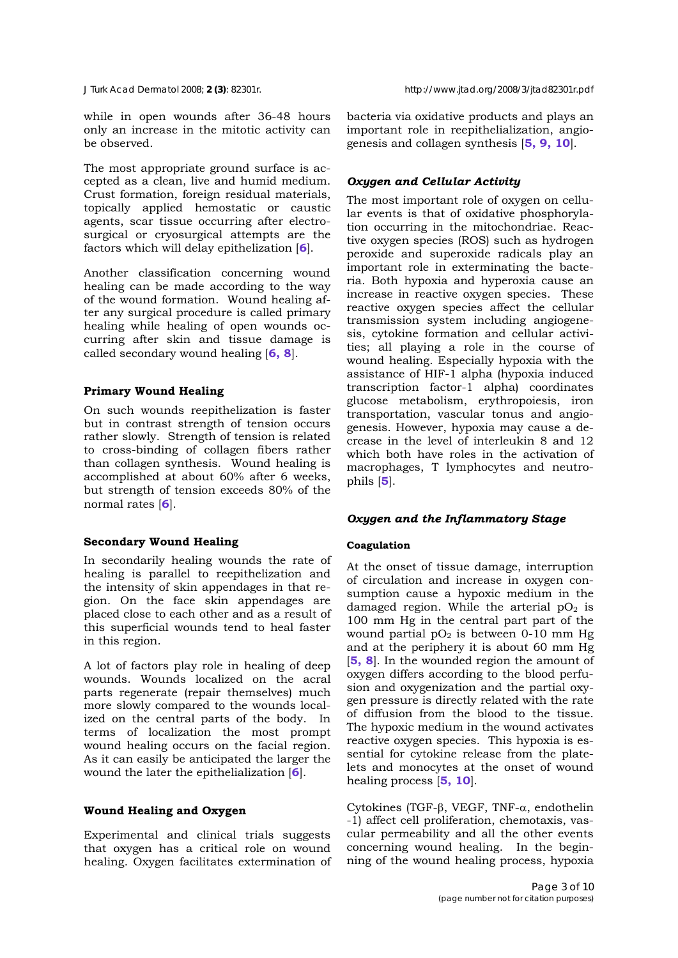while in open wounds after 36-48 hours only an increase in the mitotic activity can be observed.

The most appropriate ground surface is accepted as a clean, live and humid medium. Crust formation, foreign residual materials, topically applied hemostatic or caustic agents, scar tissue occurring after electrosurgical or cryosurgical attempts are the factors which will delay epithelization [**6**].

Another classification concerning wound healing can be made according to the way of the wound formation. Wound healing after any surgical procedure is called primary healing while healing of open wounds occurring after skin and tissue damage is called secondary wound healing [**6, 8**].

# **Primary Wound Healing**

On such wounds reepithelization is faster but in contrast strength of tension occurs rather slowly. Strength of tension is related to cross-binding of collagen fibers rather than collagen synthesis. Wound healing is accomplished at about 60% after 6 weeks, but strength of tension exceeds 80% of the normal rates [**6**].

# **Secondary Wound Healing**

In secondarily healing wounds the rate of healing is parallel to reepithelization and the intensity of skin appendages in that region. On the face skin appendages are placed close to each other and as a result of this superficial wounds tend to heal faster in this region.

A lot of factors play role in healing of deep wounds. Wounds localized on the acral parts regenerate (repair themselves) much more slowly compared to the wounds localized on the central parts of the body. In terms of localization the most prompt wound healing occurs on the facial region. As it can easily be anticipated the larger the wound the later the epithelialization [**6**].

# **Wound Healing and Oxygen**

Experimental and clinical trials suggests that oxygen has a critical role on wound healing. Oxygen facilitates extermination of bacteria via oxidative products and plays an important role in reepithelialization, angiogenesis and collagen synthesis [**5, 9, 10**].

# *Oxygen and Cellular Activity*

The most important role of oxygen on cellular events is that of oxidative phosphorylation occurring in the mitochondriae. Reactive oxygen species (ROS) such as hydrogen peroxide and superoxide radicals play an important role in exterminating the bacteria. Both hypoxia and hyperoxia cause an increase in reactive oxygen species. These reactive oxygen species affect the cellular transmission system including angiogenesis, cytokine formation and cellular activities; all playing a role in the course of wound healing. Especially hypoxia with the assistance of HIF-1 alpha (hypoxia induced transcription factor-1 alpha) coordinates glucose metabolism, erythropoiesis, iron transportation, vascular tonus and angiogenesis. However, hypoxia may cause a decrease in the level of interleukin 8 and 12 which both have roles in the activation of macrophages, T lymphocytes and neutrophils [**5**].

# *Oxygen and the Inflammatory Stage*

# **Coagulation**

At the onset of tissue damage, interruption of circulation and increase in oxygen consumption cause a hypoxic medium in the damaged region. While the arterial  $pO<sub>2</sub>$  is 100 mm Hg in the central part part of the wound partial  $pO_2$  is between 0-10 mm Hg and at the periphery it is about 60 mm Hg [**5, 8**]. In the wounded region the amount of oxygen differs according to the blood perfusion and oxygenization and the partial oxygen pressure is directly related with the rate of diffusion from the blood to the tissue. The hypoxic medium in the wound activates reactive oxygen species. This hypoxia is essential for cytokine release from the platelets and monocytes at the onset of wound healing process [**5, 10**].

Cytokines (TGF-β, VEGF, TNF-α, endothelin -1) affect cell proliferation, chemotaxis, vascular permeability and all the other events concerning wound healing. In the beginning of the wound healing process, hypoxia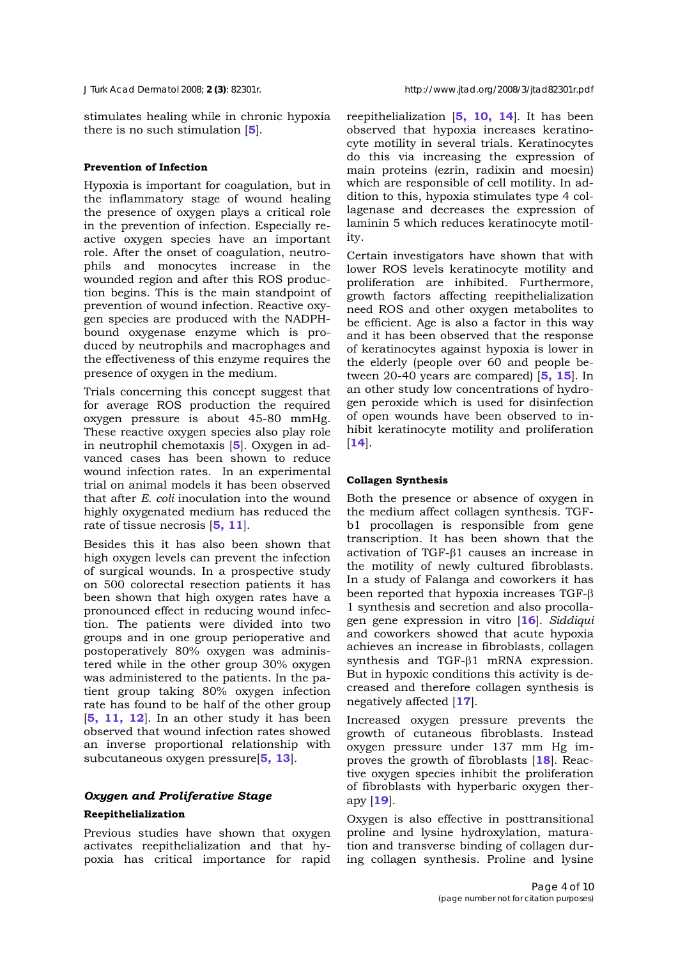stimulates healing while in chronic hypoxia there is no such stimulation [**5**].

## **Prevention of Infection**

Hypoxia is important for coagulation, but in the inflammatory stage of wound healing the presence of oxygen plays a critical role in the prevention of infection. Especially reactive oxygen species have an important role. After the onset of coagulation, neutrophils and monocytes increase in the wounded region and after this ROS production begins. This is the main standpoint of prevention of wound infection. Reactive oxygen species are produced with the NADPHbound oxygenase enzyme which is produced by neutrophils and macrophages and the effectiveness of this enzyme requires the presence of oxygen in the medium.

Trials concerning this concept suggest that for average ROS production the required oxygen pressure is about 45-80 mmHg. These reactive oxygen species also play role in neutrophil chemotaxis [**5**]. Oxygen in advanced cases has been shown to reduce wound infection rates. In an experimental trial on animal models it has been observed that after *E. coli* inoculation into the wound highly oxygenated medium has reduced the rate of tissue necrosis [**5, 11**].

Besides this it has also been shown that high oxygen levels can prevent the infection of surgical wounds. In a prospective study on 500 colorectal resection patients it has been shown that high oxygen rates have a pronounced effect in reducing wound infection. The patients were divided into two groups and in one group perioperative and postoperatively 80% oxygen was administered while in the other group 30% oxygen was administered to the patients. In the patient group taking 80% oxygen infection rate has found to be half of the other group [**5, 11, 12**]. In an other study it has been observed that wound infection rates showed an inverse proportional relationship with subcutaneous oxygen pressure[**5, 13**].

## *Oxygen and Proliferative Stage*

## **Reepithelialization**

Previous studies have shown that oxygen activates reepithelialization and that hypoxia has critical importance for rapid reepithelialization [**5, 10, 14**]. It has been observed that hypoxia increases keratinocyte motility in several trials. Keratinocytes do this via increasing the expression of main proteins (ezrin, radixin and moesin) which are responsible of cell motility. In addition to this, hypoxia stimulates type 4 collagenase and decreases the expression of laminin 5 which reduces keratinocyte motility.

Certain investigators have shown that with lower ROS levels keratinocyte motility and proliferation are inhibited. Furthermore, growth factors affecting reepithelialization need ROS and other oxygen metabolites to be efficient. Age is also a factor in this way and it has been observed that the response of keratinocytes against hypoxia is lower in the elderly (people over 60 and people between 20-40 years are compared) [**5, 15**]. In an other study low concentrations of hydrogen peroxide which is used for disinfection of open wounds have been observed to inhibit keratinocyte motility and proliferation [**14**].

#### **Collagen Synthesis**

Both the presence or absence of oxygen in the medium affect collagen synthesis. TGFb1 procollagen is responsible from gene transcription. It has been shown that the activation of TGF-β1 causes an increase in the motility of newly cultured fibroblasts. In a study of Falanga and coworkers it has been reported that hypoxia increases TGF-β 1 synthesis and secretion and also procollagen gene expression in vitro [**16**]. *Siddiqui*  and coworkers showed that acute hypoxia achieves an increase in fibroblasts, collagen synthesis and TGF-β1 mRNA expression. But in hypoxic conditions this activity is decreased and therefore collagen synthesis is negatively affected [**17**].

Increased oxygen pressure prevents the growth of cutaneous fibroblasts. Instead oxygen pressure under 137 mm Hg improves the growth of fibroblasts [**18**]. Reactive oxygen species inhibit the proliferation of fibroblasts with hyperbaric oxygen therapy [**19**].

Oxygen is also effective in posttransitional proline and lysine hydroxylation, maturation and transverse binding of collagen during collagen synthesis. Proline and lysine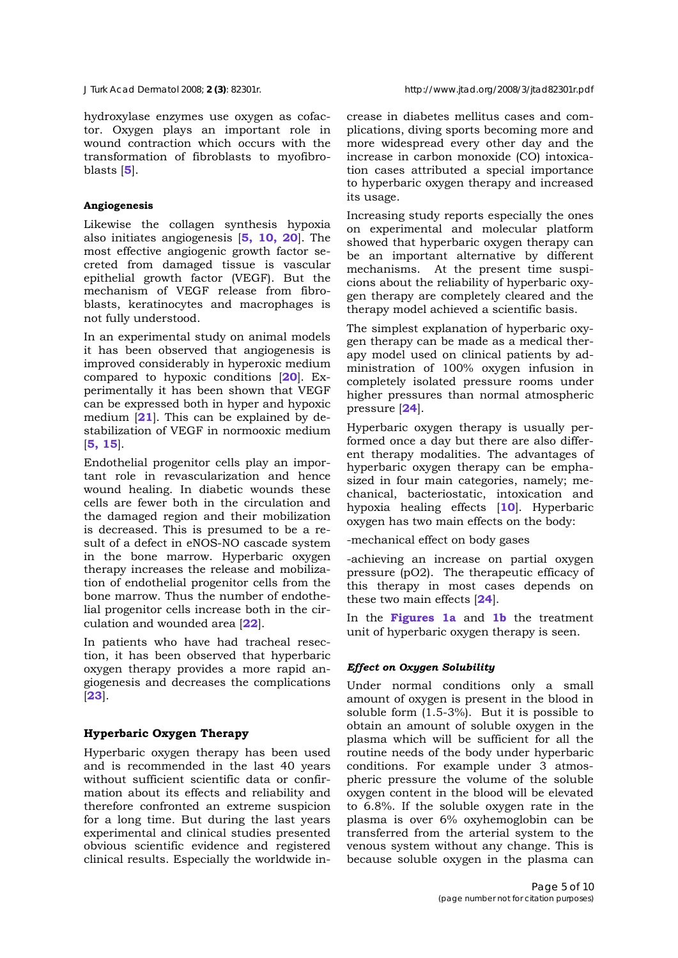hydroxylase enzymes use oxygen as cofactor. Oxygen plays an important role in wound contraction which occurs with the transformation of fibroblasts to myofibroblasts [**5**].

## **Angiogenesis**

Likewise the collagen synthesis hypoxia also initiates angiogenesis [**5, 10, 20**]. The most effective angiogenic growth factor secreted from damaged tissue is vascular epithelial growth factor (VEGF). But the mechanism of VEGF release from fibroblasts, keratinocytes and macrophages is not fully understood.

In an experimental study on animal models it has been observed that angiogenesis is improved considerably in hyperoxic medium compared to hypoxic conditions [**20**]. Experimentally it has been shown that VEGF can be expressed both in hyper and hypoxic medium [**21**]. This can be explained by destabilization of VEGF in normooxic medium [**5, 15**].

Endothelial progenitor cells play an important role in revascularization and hence wound healing. In diabetic wounds these cells are fewer both in the circulation and the damaged region and their mobilization is decreased. This is presumed to be a result of a defect in eNOS-NO cascade system in the bone marrow. Hyperbaric oxygen therapy increases the release and mobilization of endothelial progenitor cells from the bone marrow. Thus the number of endothelial progenitor cells increase both in the circulation and wounded area [**22**].

In patients who have had tracheal resection, it has been observed that hyperbaric oxygen therapy provides a more rapid angiogenesis and decreases the complications [**23**].

## **Hyperbaric Oxygen Therapy**

Hyperbaric oxygen therapy has been used and is recommended in the last 40 years without sufficient scientific data or confirmation about its effects and reliability and therefore confronted an extreme suspicion for a long time. But during the last years experimental and clinical studies presented obvious scientific evidence and registered clinical results. Especially the worldwide increase in diabetes mellitus cases and complications, diving sports becoming more and more widespread every other day and the increase in carbon monoxide (CO) intoxication cases attributed a special importance to hyperbaric oxygen therapy and increased its usage.

Increasing study reports especially the ones on experimental and molecular platform showed that hyperbaric oxygen therapy can be an important alternative by different mechanisms. At the present time suspicions about the reliability of hyperbaric oxygen therapy are completely cleared and the therapy model achieved a scientific basis.

The simplest explanation of hyperbaric oxygen therapy can be made as a medical therapy model used on clinical patients by administration of 100% oxygen infusion in completely isolated pressure rooms under higher pressures than normal atmospheric pressure [**24**].

Hyperbaric oxygen therapy is usually performed once a day but there are also different therapy modalities. The advantages of hyperbaric oxygen therapy can be emphasized in four main categories, namely; mechanical, bacteriostatic, intoxication and hypoxia healing effects [**10**]. Hyperbaric oxygen has two main effects on the body:

-mechanical effect on body gases

-achieving an increase on partial oxygen pressure (pO2). The therapeutic efficacy of this therapy in most cases depends on these two main effects [**24**].

In the **Figures 1a** and **1b** the treatment unit of hyperbaric oxygen therapy is seen.

# *Effect on Oxygen Solubility*

Under normal conditions only a small amount of oxygen is present in the blood in soluble form (1.5-3%). But it is possible to obtain an amount of soluble oxygen in the plasma which will be sufficient for all the routine needs of the body under hyperbaric conditions. For example under 3 atmospheric pressure the volume of the soluble oxygen content in the blood will be elevated to 6.8%. If the soluble oxygen rate in the plasma is over 6% oxyhemoglobin can be transferred from the arterial system to the venous system without any change. This is because soluble oxygen in the plasma can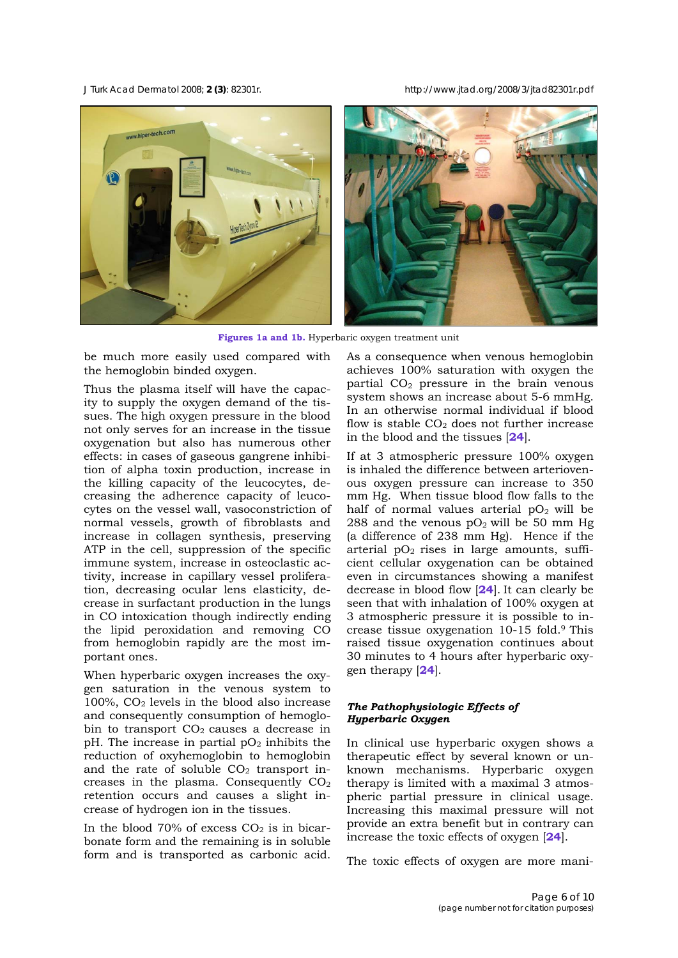*J Turk Acad Dermatol* 2008; **2 (3)**: 82301r. http://www.jtad.org/2008/3/jtad82301r.pdf



**Figures 1a and 1b.** Hyperbaric oxygen treatment unit

be much more easily used compared with the hemoglobin binded oxygen.

Thus the plasma itself will have the capacity to supply the oxygen demand of the tissues. The high oxygen pressure in the blood not only serves for an increase in the tissue oxygenation but also has numerous other effects: in cases of gaseous gangrene inhibition of alpha toxin production, increase in the killing capacity of the leucocytes, decreasing the adherence capacity of leucocytes on the vessel wall, vasoconstriction of normal vessels, growth of fibroblasts and increase in collagen synthesis, preserving ATP in the cell, suppression of the specific immune system, increase in osteoclastic activity, increase in capillary vessel proliferation, decreasing ocular lens elasticity, decrease in surfactant production in the lungs in CO intoxication though indirectly ending the lipid peroxidation and removing CO from hemoglobin rapidly are the most important ones.

When hyperbaric oxygen increases the oxygen saturation in the venous system to  $100\%$ ,  $CO<sub>2</sub>$  levels in the blood also increase and consequently consumption of hemoglobin to transport  $CO<sub>2</sub>$  causes a decrease in pH. The increase in partial  $pO<sub>2</sub>$  inhibits the reduction of oxyhemoglobin to hemoglobin and the rate of soluble  $CO<sub>2</sub>$  transport increases in the plasma. Consequently  $CO<sub>2</sub>$ retention occurs and causes a slight increase of hydrogen ion in the tissues.

In the blood  $70\%$  of excess  $CO<sub>2</sub>$  is in bicarbonate form and the remaining is in soluble form and is transported as carbonic acid.

As a consequence when venous hemoglobin achieves 100% saturation with oxygen the partial  $CO<sub>2</sub>$  pressure in the brain venous system shows an increase about 5-6 mmHg. In an otherwise normal individual if blood flow is stable  $CO<sub>2</sub>$  does not further increase in the blood and the tissues [**24**].

If at 3 atmospheric pressure 100% oxygen is inhaled the difference between arteriovenous oxygen pressure can increase to 350 mm Hg. When tissue blood flow falls to the half of normal values arterial  $pO<sub>2</sub>$  will be 288 and the venous  $pO_2$  will be 50 mm Hg (a difference of 238 mm Hg). Hence if the arterial  $pO_2$  rises in large amounts, sufficient cellular oxygenation can be obtained even in circumstances showing a manifest decrease in blood flow [**24**]. It can clearly be seen that with inhalation of 100% oxygen at 3 atmospheric pressure it is possible to increase tissue oxygenation 10-15 fold.9 This raised tissue oxygenation continues about 30 minutes to 4 hours after hyperbaric oxygen therapy [**24**].

## *The Pathophysiologic Effects of Hyperbaric Oxygen*

In clinical use hyperbaric oxygen shows a therapeutic effect by several known or unknown mechanisms. Hyperbaric oxygen therapy is limited with a maximal 3 atmospheric partial pressure in clinical usage. Increasing this maximal pressure will not provide an extra benefit but in contrary can increase the toxic effects of oxygen [**24**].

The toxic effects of oxygen are more mani-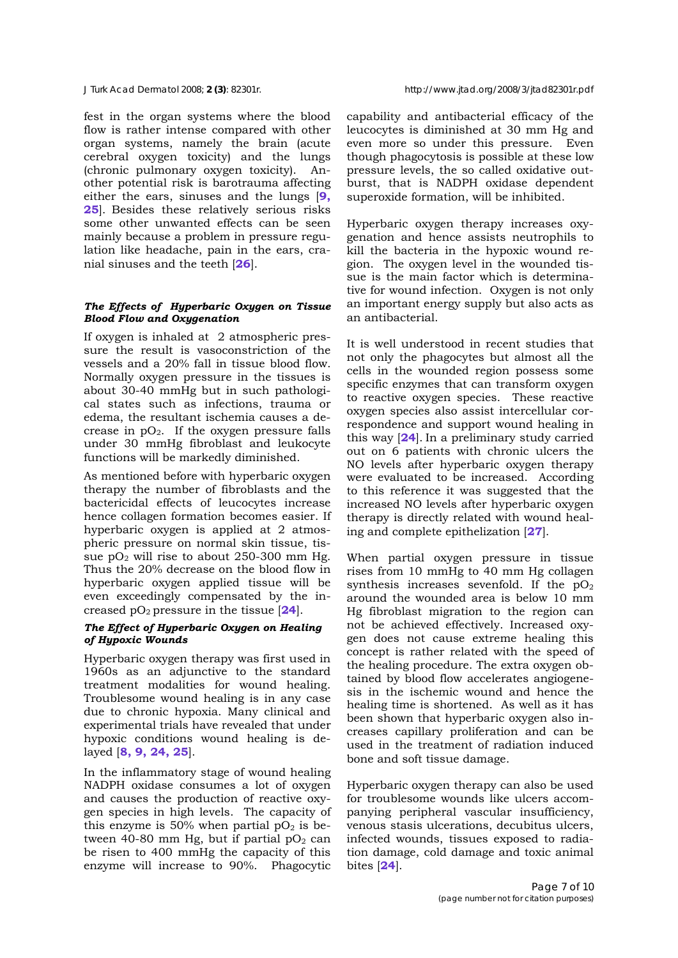fest in the organ systems where the blood flow is rather intense compared with other organ systems, namely the brain (acute cerebral oxygen toxicity) and the lungs (chronic pulmonary oxygen toxicity). Another potential risk is barotrauma affecting either the ears, sinuses and the lungs [**9, 25**]. Besides these relatively serious risks some other unwanted effects can be seen mainly because a problem in pressure regulation like headache, pain in the ears, cranial sinuses and the teeth [**26**].

## *The Effects of Hyperbaric Oxygen on Tissue Blood Flow and Oxygenation*

If oxygen is inhaled at 2 atmospheric pressure the result is vasoconstriction of the vessels and a 20% fall in tissue blood flow. Normally oxygen pressure in the tissues is about 30-40 mmHg but in such pathological states such as infections, trauma or edema, the resultant ischemia causes a decrease in  $pQ_2$ . If the oxygen pressure falls under 30 mmHg fibroblast and leukocyte functions will be markedly diminished.

As mentioned before with hyperbaric oxygen therapy the number of fibroblasts and the bactericidal effects of leucocytes increase hence collagen formation becomes easier. If hyperbaric oxygen is applied at 2 atmospheric pressure on normal skin tissue, tissue  $pO<sub>2</sub>$  will rise to about 250-300 mm Hg. Thus the 20% decrease on the blood flow in hyperbaric oxygen applied tissue will be even exceedingly compensated by the increased  $pO_2$  pressure in the tissue  $[24]$ .

## *The Effect of Hyperbaric Oxygen on Healing of Hypoxic Wounds*

Hyperbaric oxygen therapy was first used in 1960s as an adjunctive to the standard treatment modalities for wound healing. Troublesome wound healing is in any case due to chronic hypoxia. Many clinical and experimental trials have revealed that under hypoxic conditions wound healing is delayed [**8, 9, 24, 25**].

In the inflammatory stage of wound healing NADPH oxidase consumes a lot of oxygen and causes the production of reactive oxygen species in high levels. The capacity of this enzyme is 50% when partial  $pO<sub>2</sub>$  is between 40-80 mm Hg, but if partial  $pO<sub>2</sub>$  can be risen to 400 mmHg the capacity of this enzyme will increase to 90%. Phagocytic

capability and antibacterial efficacy of the leucocytes is diminished at 30 mm Hg and even more so under this pressure. Even though phagocytosis is possible at these low pressure levels, the so called oxidative outburst, that is NADPH oxidase dependent superoxide formation, will be inhibited.

Hyperbaric oxygen therapy increases oxygenation and hence assists neutrophils to kill the bacteria in the hypoxic wound region. The oxygen level in the wounded tissue is the main factor which is determinative for wound infection. Oxygen is not only an important energy supply but also acts as an antibacterial.

It is well understood in recent studies that not only the phagocytes but almost all the cells in the wounded region possess some specific enzymes that can transform oxygen to reactive oxygen species. These reactive oxygen species also assist intercellular correspondence and support wound healing in this way [**24**]. In a preliminary study carried out on 6 patients with chronic ulcers the NO levels after hyperbaric oxygen therapy were evaluated to be increased. According to this reference it was suggested that the increased NO levels after hyperbaric oxygen therapy is directly related with wound healing and complete epithelization [**27**].

When partial oxygen pressure in tissue rises from 10 mmHg to 40 mm Hg collagen synthesis increases sevenfold. If the  $pO<sub>2</sub>$ around the wounded area is below 10 mm Hg fibroblast migration to the region can not be achieved effectively. Increased oxygen does not cause extreme healing this concept is rather related with the speed of the healing procedure. The extra oxygen obtained by blood flow accelerates angiogenesis in the ischemic wound and hence the healing time is shortened. As well as it has been shown that hyperbaric oxygen also increases capillary proliferation and can be used in the treatment of radiation induced bone and soft tissue damage.

Hyperbaric oxygen therapy can also be used for troublesome wounds like ulcers accompanying peripheral vascular insufficiency, venous stasis ulcerations, decubitus ulcers, infected wounds, tissues exposed to radiation damage, cold damage and toxic animal bites [**24**].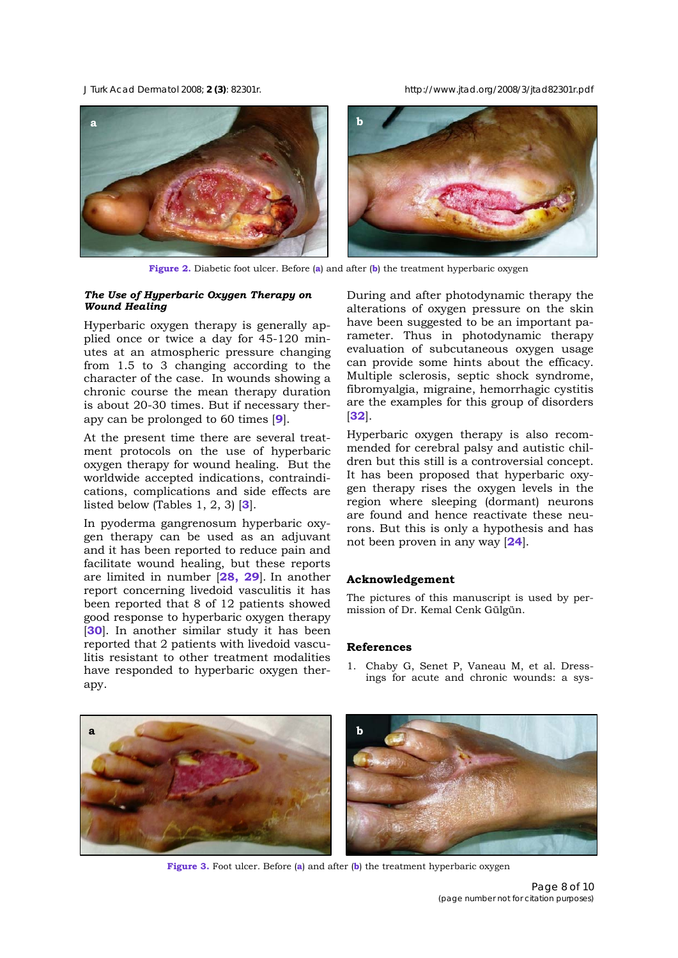*J Turk Acad Dermatol* 2008; **2 (3)**: 82301r. http://www.jtad.org/2008/3/jtad82301r.pdf



**Figure 2.** Diabetic foot ulcer. Before (**a**) and after (**b**) the treatment hyperbaric oxygen

## *The Use of Hyperbaric Oxygen Therapy on Wound Healing*

Hyperbaric oxygen therapy is generally applied once or twice a day for 45-120 minutes at an atmospheric pressure changing from 1.5 to 3 changing according to the character of the case. In wounds showing a chronic course the mean therapy duration is about 20-30 times. But if necessary therapy can be prolonged to 60 times [**9**].

At the present time there are several treatment protocols on the use of hyperbaric oxygen therapy for wound healing. But the worldwide accepted indications, contraindications, complications and side effects are listed below (Tables 1, 2, 3) [**3**].

In pyoderma gangrenosum hyperbaric oxygen therapy can be used as an adjuvant and it has been reported to reduce pain and facilitate wound healing, but these reports are limited in number [**28, 29**]. In another report concerning livedoid vasculitis it has been reported that 8 of 12 patients showed good response to hyperbaric oxygen therapy [**30**]. In another similar study it has been reported that 2 patients with livedoid vasculitis resistant to other treatment modalities have responded to hyperbaric oxygen therapy.

During and after photodynamic therapy the alterations of oxygen pressure on the skin have been suggested to be an important parameter. Thus in photodynamic therapy evaluation of subcutaneous oxygen usage can provide some hints about the efficacy. Multiple sclerosis, septic shock syndrome, fibromyalgia, migraine, hemorrhagic cystitis are the examples for this group of disorders [**32**].

Hyperbaric oxygen therapy is also recommended for cerebral palsy and autistic children but this still is a controversial concept. It has been proposed that hyperbaric oxygen therapy rises the oxygen levels in the region where sleeping (dormant) neurons are found and hence reactivate these neurons. But this is only a hypothesis and has not been proven in any way [**24**].

## **Acknowledgement**

The pictures of this manuscript is used by permission of Dr. Kemal Cenk Gülgün.

#### **References**

1. Chaby G, Senet P, Vaneau M, et al. Dressings for acute and chronic wounds: a sys-



**Figure 3.** Foot ulcer. Before (**a**) and after (**b**) the treatment hyperbaric oxygen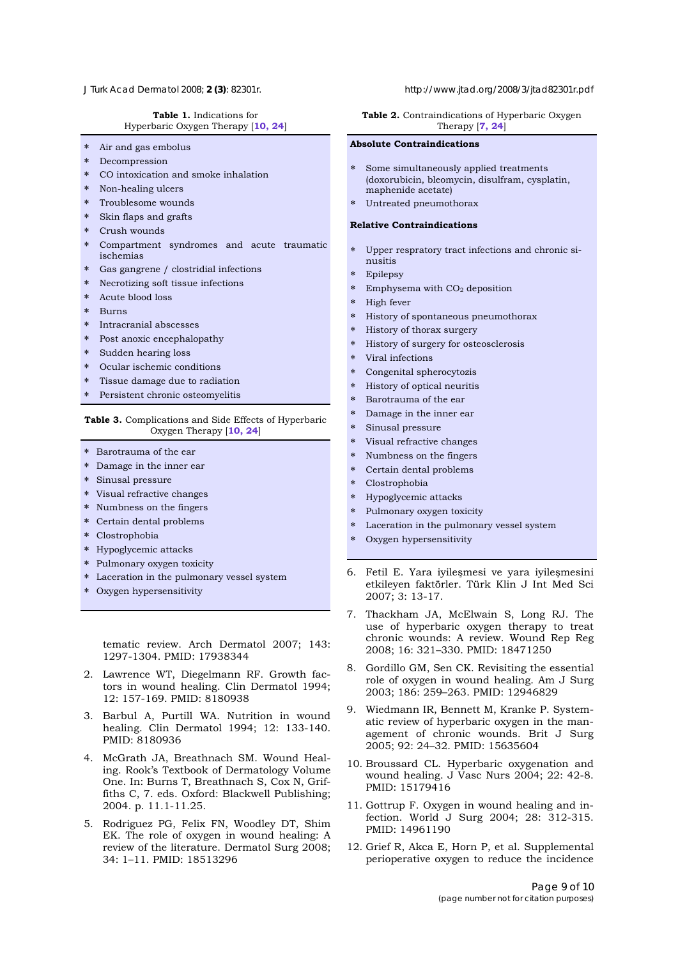#### **Table 1.** Indications for Hyperbaric Oxygen Therapy [**10, 24**]

- ∗ Air and gas embolus
- **Decompression**
- ∗ CO intoxication and smoke inhalation
- ∗ Non-healing ulcers
- ∗ Troublesome wounds
- ∗ Skin flaps and grafts
- Crush wounds
- ∗ Compartment syndromes and acute traumatic ischemias
- Gas gangrene / clostridial infections
- ∗ Necrotizing soft tissue infections
- ∗ Acute blood loss
- ∗ Burns
- ∗ Intracranial abscesses
- Post anoxic encephalopathy
- ∗ Sudden hearing loss
- Ocular ischemic conditions
- Tissue damage due to radiation
- ∗ Persistent chronic osteomyelitis

#### **Table 3.** Complications and Side Effects of Hyperbaric Oxygen Therapy [**10, 24**]

- ∗ Barotrauma of the ear
- ∗ Damage in the inner ear
- ∗ Sinusal pressure
- ∗ Visual refractive changes
- ∗ Numbness on the fingers
- ∗ Certain dental problems
- ∗ Clostrophobia
- ∗ Hypoglycemic attacks
- ∗ Pulmonary oxygen toxicity
- ∗ Laceration in the pulmonary vessel system
- ∗ Oxygen hypersensitivity

tematic review. Arch Dermatol 2007; 143: 1297-1304. PMID: 17938344

- 2. Lawrence WT, Diegelmann RF. Growth factors in wound healing. Clin Dermatol 1994; 12: 157-169. PMID: 8180938
- 3. Barbul A, Purtill WA. Nutrition in wound healing. Clin Dermatol 1994; 12: 133-140. PMID: 8180936
- 4. McGrath JA, Breathnach SM. Wound Healing. Rook's Textbook of Dermatology Volume One. In: Burns T, Breathnach S, Cox N, Griffiths C, 7. eds. Oxford: Blackwell Publishing; 2004. p. 11.1-11.25.
- 5. Rodriguez PG, Felix FN, Woodley DT, Shim EK. The role of oxygen in wound healing: A review of the literature. Dermatol Surg 2008; 34: 1–11. PMID: 18513296

#### *J Turk Acad Dermatol* 2008; **2 (3)**: 82301r. http://www.jtad.org/2008/3/jtad82301r.pdf

Table 2. Contraindications of Hyperbaric Oxygen Therapy [**7, 24**]

#### **Absolute Contraindications**

- Some simultaneously applied treatments (doxorubicin, bleomycin, disulfram, cysplatin, maphenide acetate)
- Untreated pneumothorax

#### **Relative Contraindications**

- Upper respratory tract infections and chronic sinusitis
- ∗ Epilepsy
- Emphysema with CO<sub>2</sub> deposition
- High fever
- History of spontaneous pneumothorax
- History of thorax surgery
- History of surgery for osteosclerosis
- ∗ Viral infections
- Congenital spherocytozis
- ∗ History of optical neuritis
- Barotrauma of the ear
- Damage in the inner ear
- Sinusal pressure
- Visual refractive changes
- Numbness on the fingers
- Certain dental problems
- ∗ Clostrophobia
- ∗ Hypoglycemic attacks
- Pulmonary oxygen toxicity
- Laceration in the pulmonary vessel system
- Oxygen hypersensitivity
- 6. Fetil E. Yara iyileşmesi ve yara iyileşmesini etkileyen faktörler. Türk Klin J Int Med Sci 2007; 3: 13-17.
- 7. Thackham JA, McElwain S, Long RJ. The use of hyperbaric oxygen therapy to treat chronic wounds: A review. Wound Rep Reg 2008; 16: 321–330. PMID: 18471250
- 8. Gordillo GM, Sen CK. Revisiting the essential role of oxygen in wound healing. Am J Surg 2003; 186: 259–263. PMID: 12946829
- 9. Wiedmann IR, Bennett M, Kranke P. Systematic review of hyperbaric oxygen in the management of chronic wounds. Brit J Surg 2005; 92: 24–32. PMID: 15635604
- 10. Broussard CL. Hyperbaric oxygenation and wound healing. J Vasc Nurs 2004; 22: 42-8. PMID: 15179416
- 11. Gottrup F. Oxygen in wound healing and infection. World J Surg 2004; 28: 312-315. PMID: 14961190
- 12. Grief R, Akca E, Horn P, et al. Supplemental perioperative oxygen to reduce the incidence